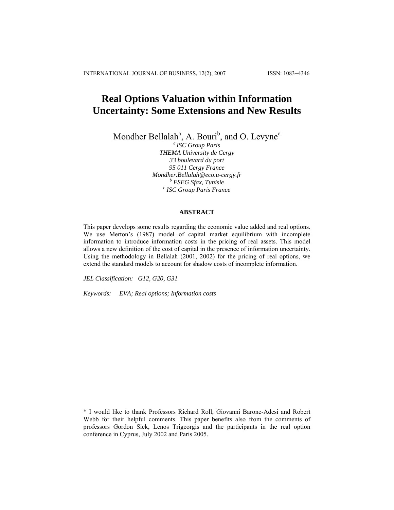# **Real Options Valuation within Information Uncertainty: Some Extensions and New Results**

Mondher Bellalah<sup>a</sup>, A. Bouri<sup>b</sup>, and O. Levyne<sup>c</sup>

*a ISC Group Paris THEMA University de Cergy 33 boulevard du port 95 011 Cergy France [Mondher.Bellalah@eco.u-cergy.fr](mailto:Mondher.Bellalah@eco.u-cergy.fr) <sup>b</sup> FSEG Sfax, Tunisie c ISC Group Paris France*

## **ABSTRACT**

This paper develops some results regarding the economic value added and real options. We use Merton's (1987) model of capital market equilibrium with incomplete information to introduce information costs in the pricing of real assets. This model allows a new definition of the cost of capital in the presence of information uncertainty. Using the methodology in Bellalah (2001, 2002) for the pricing of real options, we extend the standard models to account for shadow costs of incomplete information.

*JEL Classification: G12, G20, G31* 

*Keywords: EVA; Real options; Information costs* 

\* I would like to thank Professors Richard Roll, Giovanni Barone-Adesi and Robert Webb for their helpful comments. This paper benefits also from the comments of professors Gordon Sick, Lenos Trigeorgis and the participants in the real option conference in Cyprus, July 2002 and Paris 2005.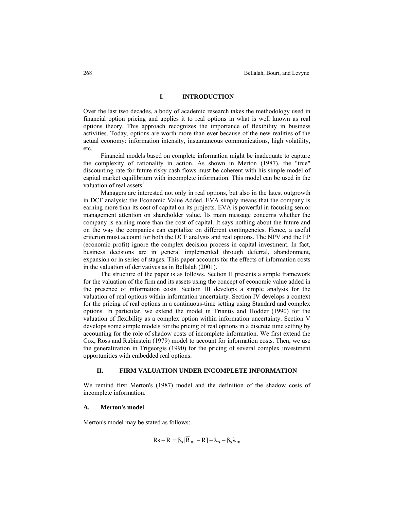## **I. INTRODUCTION**

Over the last two decades, a body of academic research takes the methodology used in financial option pricing and applies it to real options in what is well known as real options theory. This approach recognizes the importance of flexibility in business activities. Today, options are worth more than ever because of the new realities of the actual economy: information intensity, instantaneous communications, high volatility, etc.

Financial models based on complete information might be inadequate to capture the complexity of rationality in action. As shown in Merton (1987), the "true" discounting rate for future risky cash flows must be coherent with his simple model of capital market equilibrium with incomplete information. This model can be used in the valuation of real assets<sup>1</sup>.

Managers are interested not only in real options, but also in the latest outgrowth in DCF analysis; the Economic Value Added. EVA simply means that the company is earning more than its cost of capital on its projects. EVA is powerful in focusing senior management attention on shareholder value. Its main message concerns whether the company is earning more than the cost of capital. It says nothing about the future and on the way the companies can capitalize on different contingencies. Hence, a useful criterion must account for both the DCF analysis and real options. The NPV and the EP (economic profit) ignore the complex decision process in capital investment. In fact, business decisions are in general implemented through deferral, abandonment, expansion or in series of stages. This paper accounts for the effects of information costs in the valuation of derivatives as in Bellalah (2001).

The structure of the paper is as follows. Section II presents a simple framework for the valuation of the firm and its assets using the concept of economic value added in the presence of information costs. Section III develops a simple analysis for the valuation of real options within information uncertainty. Section IV develops a context for the pricing of real options in a continuous-time setting using Standard and complex options. In particular, we extend the model in Triantis and Hodder (1990) for the valuation of flexibility as a complex option within information uncertainty. Section V develops some simple models for the pricing of real options in a discrete time setting by accounting for the role of shadow costs of incomplete information. We first extend the Cox, Ross and Rubinstein (1979) model to account for information costs. Then, we use the generalization in Trigeorgis (1990) for the pricing of several complex investment opportunities with embedded real options.

#### **II. FIRM VALUATION UNDER INCOMPLETE INFORMATION**

We remind first Merton's (1987) model and the definition of the shadow costs of incomplete information.

### **A. Merton's model**

Merton's model may be stated as follows:

$$
Rs - R = \beta_s [\overline{R}_m - R] + \lambda_s - \beta_s \lambda_m
$$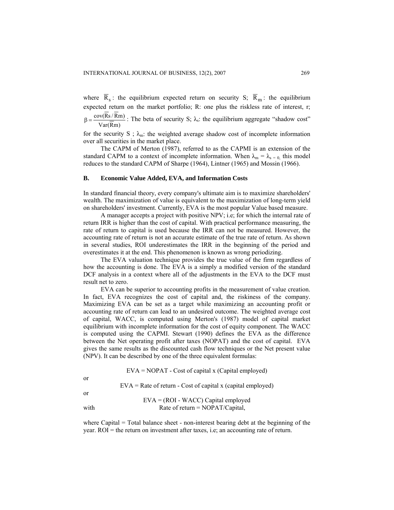where  $\overline{R}_s$ : the equilibrium expected return on security S;  $\overline{R}_m$ : the equilibrium expected return on the market portfolio; R: one plus the riskless rate of interest, r;

 $Var(Rm)$  $\beta = \frac{\text{cov}(Rs/Rm)}{s}$ : The beta of security S;  $\lambda_s$ : the equilibrium aggregate "shadow cost"

for the security S ;  $\lambda_{m}$ : the weighted average shadow cost of incomplete information over all securities in the market place.

The CAPM of Merton (1987), referred to as the CAPMI is an extension of the standard CAPM to a context of incomplete information. When  $\lambda_m = \lambda_{s=0}$ , this model reduces to the standard CAPM of Sharpe (1964), Lintner (1965) and Mossin (1966).

#### **B. Economic Value Added, EVA, and Information Costs**

In standard financial theory, every company's ultimate aim is to maximize shareholders' wealth. The maximization of value is equivalent to the maximization of long-term yield on shareholders' investment. Currently, EVA is the most popular Value based measure.

A manager accepts a project with positive NPV; i.e; for which the internal rate of return IRR is higher than the cost of capital. With practical performance measuring, the rate of return to capital is used because the IRR can not be measured. However, the accounting rate of return is not an accurate estimate of the true rate of return. As shown in several studies, ROI underestimates the IRR in the beginning of the period and overestimates it at the end. This phenomenon is known as wrong periodizing.

The EVA valuation technique provides the true value of the firm regardless of how the accounting is done. The EVA is a simply a modified version of the standard DCF analysis in a context where all of the adjustments in the EVA to the DCF must result net to zero.

EVA can be superior to accounting profits in the measurement of value creation. In fact, EVA recognizes the cost of capital and, the riskiness of the company. Maximizing EVA can be set as a target while maximizing an accounting profit or accounting rate of return can lead to an undesired outcome. The weighted average cost of capital, WACC, is computed using Merton's (1987) model of capital market equilibrium with incomplete information for the cost of equity component. The WACC is computed using the CAPMI. Stewart (1990) defines the EVA as the difference between the Net operating profit after taxes (NOPAT) and the cost of capital. EVA gives the same results as the discounted cash flow techniques or the Net present value (NPV). It can be described by one of the three equivalent formulas:

 $EVA = NOPATH - Cost of capital x (Capital employed)$ 

or

 $EVA = Rate of return - Cost of capital x (capital employed)$ 

or

EVA = (ROI - WACC) Capital employed with Rate of return = NOPAT/Capital,

where Capital = Total balance sheet - non-interest bearing debt at the beginning of the year. ROI = the return on investment after taxes, i.e; an accounting rate of return.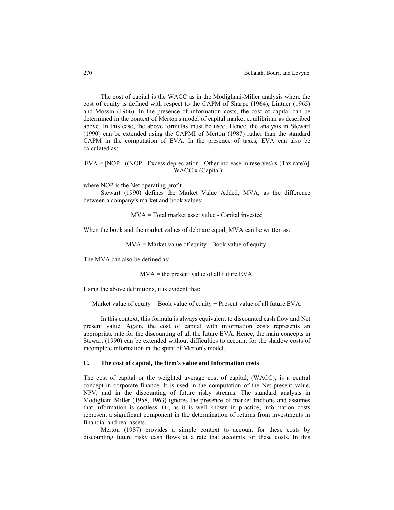The cost of capital is the WACC as in the Modigliani-Miller analysis where the cost of equity is defined with respect to the CAPM of Sharpe (1964), Lintner (1965) and Mossin (1966). In the presence of information costs, the cost of capital can be determined in the context of Merton's model of capital market equilibrium as described above. In this case, the above formulas must be used. Hence, the analysis in Stewart (1990) can be extended using the CAPMI of Merton (1987) rather than the standard CAPM in the computation of EVA. In the presence of taxes, EVA can also be calculated as:

 $EVA = [NOP - (NOP - Excess depreciation - Other increase in reserves) x (Tax rate)]$ -WACC x (Capital)

where NOP is the Net operating profit.

Stewart (1990) defines the Market Value Added, MVA, as the difference between a company's market and book values:

MVA = Total market asset value - Capital invested

When the book and the market values of debt are equal, MVA can be written as:

MVA = Market value of equity - Book value of equity.

The MVA can also be defined as:

 $MVA =$  the present value of all future EVA.

Using the above definitions, it is evident that:

Market value of equity = Book value of equity + Present value of all future EVA.

In this context, this formula is always equivalent to discounted cash flow and Net present value. Again, the cost of capital with information costs represents an appropriate rate for the discounting of all the future EVA. Hence, the main concepts in Stewart (1990) can be extended without difficulties to account for the shadow costs of incomplete information in the spirit of Merton's model.

# **C. The cost of capital, the firm's value and Information costs**

The cost of capital or the weighted average cost of capital, (WACC), is a central concept in corporate finance. It is used in the computation of the Net present value, NPV, and in the discounting of future risky streams. The standard analysis in Modigliani-Miller (1958, 1963) ignores the presence of market frictions and assumes that information is costless. Or, as it is well known in practice, information costs represent a significant component in the determination of returns from investments in financial and real assets.

Merton (1987) provides a simple context to account for these costs by discounting future risky cash flows at a rate that accounts for these costs. In this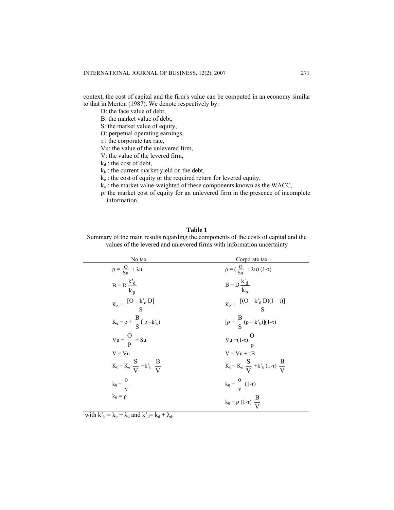context, the cost of capital and the firm's value can be computed in an economy similar to that in Merton (1987). We denote respectively by:

D: the face value of debt,

B: the market value of debt,

S: the market value of equity,

O: perpetual operating earnings,

τ : the corporate tax rate,

Vu: the value of the unlevered firm,

V: the value of the levered firm,

 $k_d$ : the cost of debt,

 $k_b$ : the current market yield on the debt,

ke : the cost of equity or the required return for levered equity,

 $k_0$ : the market value-weighted of these components known as the WACC,

 ρ: the market cost of equity for an unlevered firm in the presence of incomplete information.

# **Table 1**

Summary of the main results regarding the components of the costs of capital and the values of the levered and unlevered firms with information uncertainty

| No tax                                    | Corporate tax                                                  |
|-------------------------------------------|----------------------------------------------------------------|
| $p = \frac{O}{S_{\text{u}}} + \lambda u$  | $p = \left(\frac{Q}{S_{\text{U}}} + \lambda u\right) (1-\tau)$ |
| $B = D \frac{k'_d}{k_n}$                  | $B = D \frac{k'_d}{k_b}$                                       |
| $K_e = \frac{[O - k_d' D]}{S}$            | $K_e = \frac{[(O - k_d' D)(1-t)]}{S}$                          |
| $K_e = \rho + \frac{B}{S}(\rho - k_b)$    | $[\rho + \frac{B}{S}(\rho - k^{\prime}_{b})](1-\tau)$          |
| $Vu = \frac{O}{R} = Su$                   | $Vu = (1-\tau) \frac{U}{T}$                                    |
| $V = Vu$                                  | $V = Vu + \tau B$                                              |
| $K_0 = K_e \frac{S}{V} + k_b \frac{B}{V}$ | $K_0 = K_e \frac{S}{V} + k_b (1-\tau) \frac{B}{V}$             |
| $k_0 = \frac{0}{-}$                       | $k_0 = \frac{0}{v} (1-\tau)$                                   |
| $k_0 = \rho$                              | $k_0 = \rho (1-\tau) \frac{B}{V}$                              |

with  $k_b = k_b + \lambda_d$  and  $k_d = k_d + \lambda_d$ .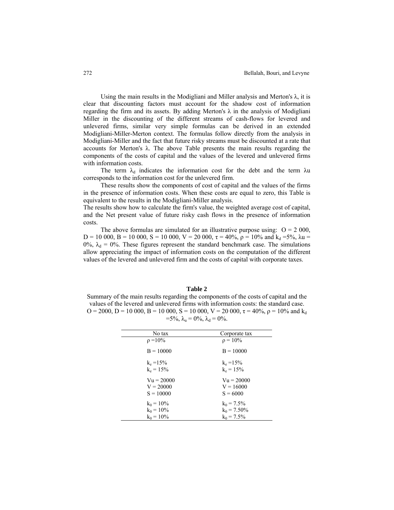Using the main results in the Modigliani and Miller analysis and Merton's  $\lambda$ , it is clear that discounting factors must account for the shadow cost of information regarding the firm and its assets. By adding Merton's  $\lambda$  in the analysis of Modigliani Miller in the discounting of the different streams of cash-flows for levered and unlevered firms, similar very simple formulas can be derived in an extended Modigliani-Miller-Merton context. The formulas follow directly from the analysis in Modigliani-Miller and the fact that future risky streams must be discounted at a rate that accounts for Merton's λ. The above Table presents the main results regarding the components of the costs of capital and the values of the levered and unlevered firms with information costs.

The term  $\lambda_d$  indicates the information cost for the debt and the term  $\lambda_u$ corresponds to the information cost for the unlevered firm.

These results show the components of cost of capital and the values of the firms in the presence of information costs. When these costs are equal to zero, this Table is equivalent to the results in the Modigliani-Miller analysis.

The results show how to calculate the firm's value, the weighted average cost of capital, and the Net present value of future risky cash flows in the presence of information costs.

The above formulas are simulated for an illustrative purpose using:  $O = 2000$ , D = 10 000, B = 10 000, S = 10 000, V = 20 000, τ = 40%, ρ = 10% and k<sub>d</sub> = 5%, λu = 0%,  $\lambda_d$  = 0%. These figures represent the standard benchmark case. The simulations allow appreciating the impact of information costs on the computation of the different values of the levered and unlevered firm and the costs of capital with corporate taxes.

### **Table 2**

Summary of the main results regarding the components of the costs of capital and the values of the levered and unlevered firms with information costs: the standard case.  $O = 2000$ ,  $D = 10000$ ,  $B = 10000$ ,  $S = 10000$ ,  $V = 20000$ ,  $τ = 40%$ ,  $ρ = 10%$  and  $k<sub>d</sub>$  $=5\%, \lambda_{\rm u}=0\%, \lambda_{\rm d}=0\%.$ 

| No tax       | Corporate tax |
|--------------|---------------|
| $p = 10\%$   | $p = 10\%$    |
| $B = 10000$  | $B = 10000$   |
| $k_e = 15\%$ | $k_e = 15\%$  |
| $k_e = 15\%$ | $k_e = 15\%$  |
| $Vu = 20000$ | $Vu = 20000$  |
| $V = 20000$  | $V = 16000$   |
| $S = 10000$  | $S = 6000$    |
| $k_0 = 10\%$ | $k_0 = 7.5\%$ |
| $k_0 = 10\%$ | $k_0$ = 7.50% |
| $k_0 = 10\%$ | $k_0 = 7.5\%$ |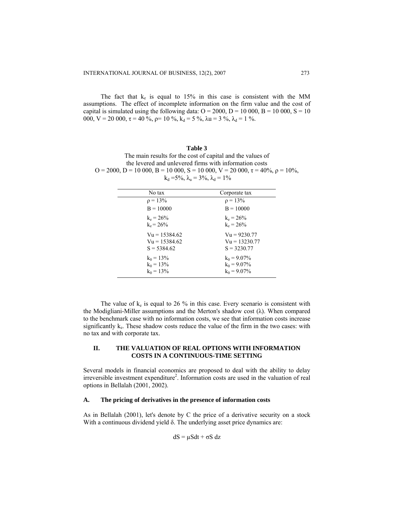The fact that  $k_e$  is equal to 15% in this case is consistent with the MM assumptions. The effect of incomplete information on the firm value and the cost of capital is simulated using the following data:  $O = 2000$ ,  $D = 10000$ ,  $B = 10000$ ,  $S = 10$ 000, V = 20 000,  $\tau$  = 40 %,  $\rho$  = 10 %,  $k_d$  = 5 %,  $\lambda u$  = 3 %,  $\lambda_d$  = 1 %.

| Table 3                                                                                              |
|------------------------------------------------------------------------------------------------------|
| The main results for the cost of capital and the values of                                           |
| the levered and unlevered firms with information costs                                               |
| $Q = 2000$ , $D = 10000$ , $B = 10000$ , $S = 10000$ , $V = 20000$ , $\tau = 40\%$ , $\rho = 10\%$ , |
| $k_d = 5\%$ , $\lambda_u = 3\%$ , $\lambda_d = 1\%$                                                  |

| No tax          | Corporate tax   |
|-----------------|-----------------|
| $p = 13%$       | $p = 13%$       |
| $B = 10000$     | $B = 10000$     |
| $k_e = 26\%$    | $k_e = 26\%$    |
| $k_e = 26\%$    | $k_e = 26\%$    |
| $Vu = 15384.62$ | $Vu = 9230.77$  |
| $Vu = 15384.62$ | $Vu = 13230.77$ |
| $S = 5384.62$   | $S = 3230.77$   |
| $k_0 = 13\%$    | $k_0 = 9.07\%$  |
| $k_0 = 13\%$    | $k_0 = 9.07\%$  |
| $k_0 = 13\%$    | $k_0 = 9.07\%$  |

The value of  $k_e$  is equal to 26 % in this case. Every scenario is consistent with the Modigliani-Miller assumptions and the Merton's shadow cost  $(\lambda)$ . When compared to the benchmark case with no information costs, we see that information costs increase significantly  $k_e$ . These shadow costs reduce the value of the firm in the two cases: with no tax and with corporate tax.

## **II. THE VALUATION OF REAL OPTIONS WITH INFORMATION COSTS IN A CONTINUOUS-TIME SETTING**

Several models in financial economics are proposed to deal with the ability to delay irreversible investment expenditure<sup>2</sup>. Information costs are used in the valuation of real options in Bellalah (2001, 2002).

# **A. The pricing of derivatives in the presence of information costs**

As in Bellalah (2001), let's denote by C the price of a derivative security on a stock With a continuous dividend yield δ. The underlying asset price dynamics are:

$$
dS = \mu S dt + \sigma S dz
$$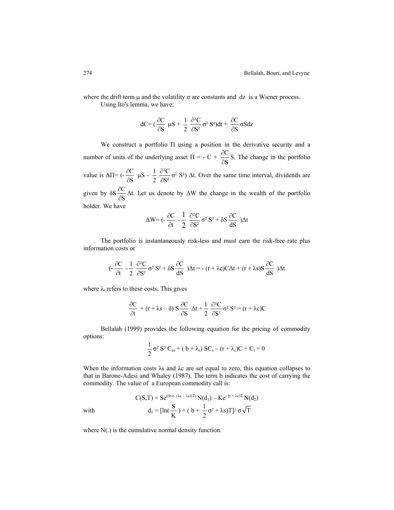where the drift term  $\mu$  and the volatility  $\sigma$  are constants and dz is a Wiener process. Using Ito's lemma, we have:

$$
dC = \left(\frac{\partial C}{\partial S} \mu S + \frac{1}{2} \frac{\partial^2 C}{\partial S^2} \sigma^2 S^2\right) dt + \frac{\partial C}{\partial S} \sigma S dz
$$

We construct a portfolio Π using a position in the derivative security and a number of units of the underlying asset  $\Pi = -C + \frac{\partial C}{\partial S}$ C  $\frac{\partial C}{\partial S}$  S. The change in the portfolio value is  $\Delta \Pi = (-\frac{\partial C}{\partial S})$  $\frac{\partial C}{\partial S}$  µS -  $\frac{1}{2}$  $S^2$  $^2C$ ∂  $\frac{\partial^2 C}{\partial \zeta^2}$  σ<sup>2</sup> S<sup>2</sup>) Δt. Over the same time interval, dividends are given by  $\delta S \frac{\partial C}{\partial S}$ C  $\frac{\partial C}{\partial S}$  Δt. Let us denote by  $\Delta W$  the change in the wealth of the portfolio holder. We have

$$
\Delta W = \left(-\frac{\partial C}{\partial t} - \frac{1}{2} \frac{\partial^2 C}{\partial S^2} \sigma^2 S^2 + \delta S \frac{\partial C}{dS} \right) \Delta t
$$

The portfolio is instantaneously risk-less and must earn the risk-free rate plus information costs or

$$
(-\frac{\partial C}{\partial t} - \frac{1}{2} \frac{\partial^2 C}{\partial S^2} \sigma^2 S^2 + \delta S \frac{\partial C}{dS}) \Delta t = -(r + \lambda c) C \Delta t + (r + \lambda s) S \frac{\partial C}{dS} ) \Delta t
$$

where  $\lambda_i$  refers to these costs. This gives

$$
\frac{\partial C}{\partial t} + (r + \lambda s - \delta) S \frac{\partial C}{\partial S} \Delta t + \frac{1}{2} \frac{\partial^2 C}{\partial S^2} \sigma^2 S^2 = (r + \lambda c)C
$$

Bellalah (1999) provides the following equation for the pricing of commodity options:

$$
\frac{1}{2} \,\sigma^2\,S^2\,C_{ss} + (\,b+\lambda_s)\,SC_s - (r+\lambda_c)C + C_t = 0
$$

When the information costs  $\lambda$ s and  $\lambda$ c are set equal to zero, this equation collapses to that in Barone-Adesi and Whaley (1987). The term b indicates the cost of carrying the commodity. The value of a European commodity call is:

$$
C(S,T) = Se^{((b-r-(\lambda c - \lambda s))T)}N(d_1) - Ke^{-(r+\lambda c)T}N(d_2)
$$
  
with  

$$
d_1 = [\ln(\frac{S}{K}) + (b + \frac{1}{2}\sigma^2 + \lambda s)T]/\sigma\sqrt{T}
$$

where N(.) is the cumulative normal density function.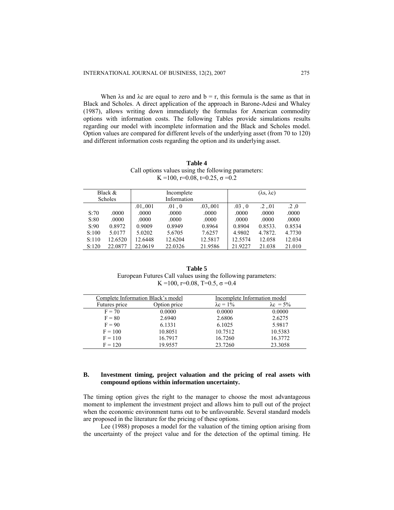When  $\lambda$ s and  $\lambda$ c are equal to zero and  $b = r$ , this formula is the same as that in Black and Scholes. A direct application of the approach in Barone-Adesi and Whaley (1987), allows writing down immediately the formulas for American commodity options with information costs. The following Tables provide simulations results regarding our model with incomplete information and the Black and Scholes model. Option values are compared for different levels of the underlying asset (from 70 to 120) and different information costs regarding the option and its underlying asset.

| Table 4                                             |
|-----------------------------------------------------|
| Call options values using the following parameters: |
| K = 100, r=0.08, t=0.25, $\sigma$ = 0.2             |

|       | Black $\&$ | Incomplete  |           |          | $(\lambda s, \lambda c)$ |               |        |
|-------|------------|-------------|-----------|----------|--------------------------|---------------|--------|
|       | Scholes    | Information |           |          |                          |               |        |
|       |            | .01, .001   | $.01$ , 0 | .03,.001 | .03.0                    | $.2 \dots 01$ | .2.0   |
| S:70  | .0000      | .0000       | .0000     | .0000    | .0000                    | .0000         | .0000  |
| S:80  | .0000      | .0000       | .0000     | .0000    | .0000                    | .0000         | .0000  |
| S:90  | 0.8972     | 0.9009      | 0.8949    | 0.8964   | 0.8904                   | 0.8533.       | 0.8534 |
| S:100 | 5.0177     | 5.0202      | 5.6705    | 7.6257   | 4.9802                   | 4.7872.       | 4.7730 |
| S:110 | 12.6520    | 12.6448     | 12.6204   | 12.5817  | 12.5574                  | 12.058        | 12.034 |
| S:120 | 22.0877    | 22.0619     | 22.0326   | 21.9586  | 21.9227                  | 21.038        | 21.010 |

**Table 5**  European Futures Call values using the following parameters: K =100, r=0.08, T=0.5,  $\sigma$  =0.4

|               | Complete Information Black's model | Incomplete Information model |                   |  |
|---------------|------------------------------------|------------------------------|-------------------|--|
| Futures price | Option price                       | $\lambda c = 1\%$            | $\lambda c = 5\%$ |  |
| $F = 70$      | 0.0000                             | 0.0000                       | 0.0000            |  |
| $F = 80$      | 2.6940                             | 2.6806                       | 2.6275            |  |
| $F = 90$      | 6.1331                             | 6.1025                       | 5.9817            |  |
| $F = 100$     | 10.8051                            | 10.7512                      | 10.5383           |  |
| $F = 110$     | 16.7917                            | 16.7260                      | 16.3772           |  |
| $F = 120$     | 19.9557                            | 23.7260                      | 23.3058           |  |

## **B. Investment timing, project valuation and the pricing of real assets with compound options within information uncertainty.**

The timing option gives the right to the manager to choose the most advantageous moment to implement the investment project and allows him to pull out of the project when the economic environment turns out to be unfavourable. Several standard models are proposed in the literature for the pricing of these options.

Lee (1988) proposes a model for the valuation of the timing option arising from the uncertainty of the project value and for the detection of the optimal timing. He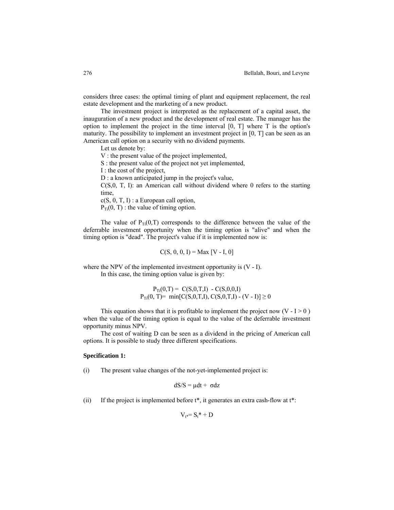considers three cases: the optimal timing of plant and equipment replacement, the real estate development and the marketing of a new product.

The investment project is interpreted as the replacement of a capital asset, the inauguration of a new product and the development of real estate. The manager has the option to implement the project in the time interval [0, T] where T is the option's maturity. The possibility to implement an investment project in  $[0, T]$  can be seen as an American call option on a security with no dividend payments.

Let us denote by:

V : the present value of the project implemented,

S : the present value of the project not yet implemented,

I : the cost of the project,

D : a known anticipated jump in the project's value,

 $C(S,0, T, I)$ : an American call without dividend where 0 refers to the starting time,

 $c(S, 0, T, I)$ : a European call option,

 $P_{Ti}(0, T)$ : the value of timing option.

The value of  $P_{Ti}(0,T)$  corresponds to the difference between the value of the deferrable investment opportunity when the timing option is "alive" and when the timing option is "dead". The project's value if it is implemented now is:

$$
C(S, 0, 0, I) = Max [V - I, 0]
$$

where the NPV of the implemented investment opportunity is  $(V - I)$ . In this case, the timing option value is given by:

> $P_{Ti}(0,T) = C(S,0,T,I) - C(S,0,0,I)$  $P_{Ti}(0, T) = min[ C(S, 0, T, I), C(S, 0, T, I) - (V - I)] \ge 0$

This equation shows that it is profitable to implement the project now  $(V - I > 0)$ when the value of the timing option is equal to the value of the deferrable investment opportunity minus NPV.

The cost of waiting D can be seen as a dividend in the pricing of American call options. It is possible to study three different specifications.

#### **Specification 1:**

(i) The present value changes of the not-yet-implemented project is:

$$
dS/S = \mu dt + \sigma dz
$$

(ii) If the project is implemented before t\*, it generates an extra cash-flow at t\*:

$$
V_{t^*} = S_t^* + D
$$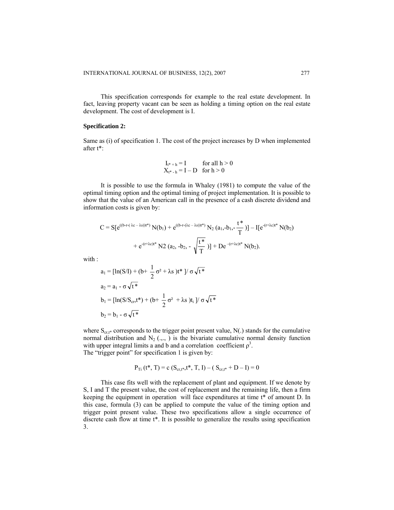This specification corresponds for example to the real estate development. In fact, leaving property vacant can be seen as holding a timing option on the real estate development. The cost of development is I.

## **Specification 2:**

Same as (i) of specification 1. The cost of the project increases by D when implemented after t\*:

$$
I_{t^*+h} = I \qquad \text{for all } h > 0
$$
  

$$
X_{t^*-h} = I - D \quad \text{for } h > 0
$$

It is possible to use the formula in Whaley (1981) to compute the value of the optimal timing option and the optimal timing of project implementation. It is possible to show that the value of an American call in the presence of a cash discrete dividend and information costs is given by:

$$
C = S[e^{((b-r-(\lambda c - \lambda s))t^{*})} N(b_1) + e^{((b-r-(\lambda c - \lambda s))t^{*})} N_2 (a_1, b_1, -\frac{t^{*}}{T})] - I[e^{-(r+\lambda c)t^{*}} N(b_2) + e^{-(r+\lambda c)t^{*}} N2 (a_2, -b_2, -\sqrt{\frac{t^{*}}{T}})] + De^{-(r+\lambda c)t^{*}} N(b_2).
$$

with :

$$
a_1 = [\ln(S/I) + (b + \frac{1}{2}\sigma^2 + \lambda s)t^*]/\sigma\sqrt{t^*}
$$
  
\n
$$
a_2 = a_1 - \sigma\sqrt{t^*}
$$
  
\n
$$
b_1 = [\ln(S/S_{cr}, t^*) + (b + \frac{1}{2}\sigma^2 + \lambda s)t_1]/\sigma\sqrt{t^*}
$$
  
\n
$$
b_2 = b_1 - \sigma\sqrt{t^*}
$$

where  $S_{\text{crt}}$ <sup>\*</sup> corresponds to the trigger point present value, N(.) stands for the cumulative normal distribution and  $N_2$  (..., ) is the bivariate cumulative normal density function with upper integral limits a and b and a correlation coefficient  $\rho^3$ . The "trigger point" for specification 1 is given by:

$$
P_{Ti}(t^*, T) = c (S_{cr,t^*}, t^*, T, I) - (S_{cr,t^*} + D - I) = 0
$$

This case fits well with the replacement of plant and equipment. If we denote by S, I and T the present value, the cost of replacement and the remaining life, then a firm keeping the equipment in operation will face expenditures at time t\* of amount D. In this case, formula (3) can be applied to compute the value of the timing option and trigger point present value. These two specifications allow a single occurrence of discrete cash flow at time t\*. It is possible to generalize the results using specification 3.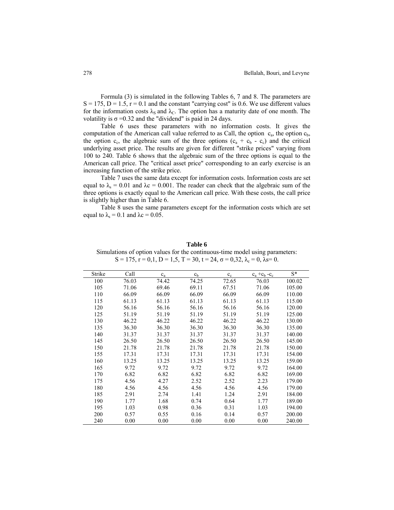Formula (3) is simulated in the following Tables 6, 7 and 8. The parameters are  $S = 175$ ,  $D = 1.5$ ,  $r = 0.1$  and the constant "carrying cost" is 0.6. We use different values for the information costs  $\lambda_{\rm S}$  and  $\lambda_{\rm C}$ . The option has a maturity date of one month. The volatility is  $\sigma$  =0.32 and the "dividend" is paid in 24 days.

Table 6 uses these parameters with no information costs. It gives the computation of the American call value referred to as Call, the option  $c_a$ , the option  $c_b$ , the option c<sub>c</sub>, the algebraic sum of the three options  $(c_a + c_b - c_c)$  and the critical underlying asset price. The results are given for different "strike prices" varying from 100 to 240. Table 6 shows that the algebraic sum of the three options is equal to the American call price. The "critical asset price" corresponding to an early exercise is an increasing function of the strike price.

Table 7 uses the same data except for information costs. Information costs are set equal to  $\lambda_s = 0.01$  and  $\lambda_c = 0.001$ . The reader can check that the algebraic sum of the three options is exactly equal to the American call price. With these costs, the call price is slightly higher than in Table 6.

Table 8 uses the same parameters except for the information costs which are set equal to  $\lambda_s = 0.1$  and  $\lambda_c = 0.05$ .

| Strike | Call  | $c_a$ | $c_{\rm b}$ | $c_{c}$ | $c_a + c_b - c_c$ | $S^*$  |
|--------|-------|-------|-------------|---------|-------------------|--------|
| 100    | 76.03 | 74.42 | 74.25       | 72.65   | 76.03             | 100.02 |
| 105    | 71.06 | 69.46 | 69.11       | 67.51   | 71.06             | 105.00 |
| 110    | 66.09 | 66.09 | 66.09       | 66.09   | 66.09             | 110.00 |
| 115    | 61.13 | 61.13 | 61.13       | 61.13   | 61.13             | 115.00 |
| 120    | 56.16 | 56.16 | 56.16       | 56.16   | 56.16             | 120.00 |
| 125    | 51.19 | 51.19 | 51.19       | 51.19   | 51.19             | 125.00 |
| 130    | 46.22 | 46.22 | 46.22       | 46.22   | 46.22             | 130.00 |
| 135    | 36.30 | 36.30 | 36.30       | 36.30   | 36.30             | 135.00 |
| 140    | 31.37 | 31.37 | 31.37       | 31.37   | 31.37             | 140.00 |
| 145    | 26.50 | 26.50 | 26.50       | 26.50   | 26.50             | 145.00 |
| 150    | 21.78 | 21.78 | 21.78       | 21.78   | 21.78             | 150.00 |
| 155    | 17.31 | 17.31 | 17.31       | 17.31   | 17.31             | 154.00 |
| 160    | 13.25 | 13.25 | 13.25       | 13.25   | 13.25             | 159.00 |
| 165    | 9.72  | 9.72  | 9.72        | 9.72    | 9.72              | 164.00 |
| 170    | 6.82  | 6.82  | 6.82        | 6.82    | 6.82              | 169.00 |
| 175    | 4.56  | 4.27  | 2.52        | 2.52    | 2.23              | 179.00 |
| 180    | 4.56  | 4.56  | 4.56        | 4.56    | 4.56              | 179.00 |
| 185    | 2.91  | 2.74  | 1.41        | 1.24    | 2.91              | 184.00 |
| 190    | 1.77  | 1.68  | 0.74        | 0.64    | 1.77              | 189.00 |
| 195    | 1.03  | 0.98  | 0.36        | 0.31    | 1.03              | 194.00 |
| 200    | 0.57  | 0.55  | 0.16        | 0.14    | 0.57              | 200.00 |
| 240    | 0.00  | 0.00  | 0.00        | 0.00    | 0.00              | 240.00 |

**Table 6**

Simulations of option values for the continuous-time model using parameters:  $S = 175$ ,  $r = 0.1$ ,  $D = 1.5$ ,  $T = 30$ ,  $t = 24$ ,  $\sigma = 0.32$ ,  $\lambda_c = 0$ ,  $\lambda s = 0$ .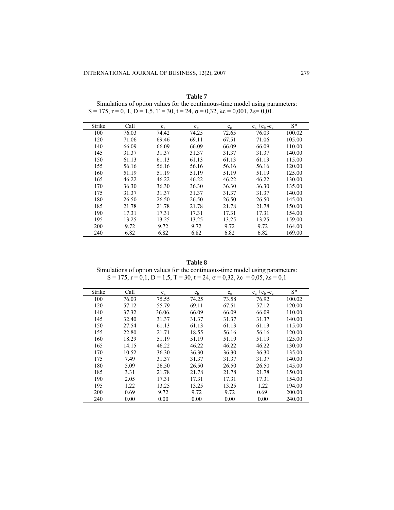## **Table 7**

Simulations of option values for the continuous-time model using parameters: S = 175, r = 0, 1, D = 1,5, T = 30, t = 24,  $\sigma$  = 0,32,  $\lambda$ c = 0,001,  $\lambda$ s = 0,01.

| Strike | Call  | $c_{a}$ | c <sub>b</sub> | $c_{c}$ | $c_a + c_b - c_c$ | $S^*$  |
|--------|-------|---------|----------------|---------|-------------------|--------|
| 100    | 76.03 | 74.42   | 74.25          | 72.65   | 76.03             | 100.02 |
| 120    | 71.06 | 69.46   | 69.11          | 67.51   | 71.06             | 105.00 |
| 140    | 66.09 | 66.09   | 66.09          | 66.09   | 66.09             | 110.00 |
| 145    | 31.37 | 31.37   | 31.37          | 31.37   | 31.37             | 140.00 |
| 150    | 61.13 | 61.13   | 61.13          | 61.13   | 61.13             | 115.00 |
| 155    | 56.16 | 56.16   | 56.16          | 56.16   | 56.16             | 120.00 |
| 160    | 51.19 | 51.19   | 51.19          | 51.19   | 51.19             | 125.00 |
| 165    | 46.22 | 46.22   | 46.22          | 46.22   | 46.22             | 130.00 |
| 170    | 36.30 | 36.30   | 36.30          | 36.30   | 36.30             | 135.00 |
| 175    | 31.37 | 31.37   | 31.37          | 31.37   | 31.37             | 140.00 |
| 180    | 26.50 | 26.50   | 26.50          | 26.50   | 26.50             | 145.00 |
| 185    | 21.78 | 21.78   | 21.78          | 21.78   | 21.78             | 150.00 |
| 190    | 17.31 | 17.31   | 17.31          | 17.31   | 17.31             | 154.00 |
| 195    | 13.25 | 13.25   | 13.25          | 13.25   | 13.25             | 159.00 |
| 200    | 9.72  | 9.72    | 9.72           | 9.72    | 9.72              | 164.00 |
| 240    | 6.82  | 6.82    | 6.82           | 6.82    | 6.82              | 169.00 |

## **Table 8**

Simulations of option values for the continuous-time model using parameters:  $S = 175$ ,  $r = 0,1$ ,  $D = 1,5$ ,  $T = 30$ ,  $t = 24$ ,  $\sigma = 0,32$ ,  $\lambda c = 0,05$ ,  $\lambda s = 0,1$ 

| Strike | Call  | $c_{a}$ | c <sub>b</sub> | $c_{c}$ | $c_a + c_b - c_c$ | $S^*$  |
|--------|-------|---------|----------------|---------|-------------------|--------|
| 100    | 76.03 | 75.55   | 74.25          | 73.58   | 76.92             | 100.02 |
| 120    | 57.12 | 55.79   | 69.11          | 67.51   | 57.12             | 120.00 |
| 140    | 37.32 | 36.06.  | 66.09          | 66.09   | 66.09             | 110.00 |
| 145    | 32.40 | 31.37   | 31.37          | 31.37   | 31.37             | 140.00 |
| 150    | 27.54 | 61.13   | 61.13          | 61.13   | 61.13             | 115.00 |
| 155    | 22.80 | 21.71   | 18.55          | 56.16   | 56.16             | 120.00 |
| 160    | 18.29 | 51.19   | 51.19          | 51.19   | 51.19             | 125.00 |
| 165    | 14.15 | 46.22   | 46.22          | 46.22   | 46.22             | 130.00 |
| 170    | 10.52 | 36.30   | 36.30          | 36.30   | 36.30             | 135.00 |
| 175    | 7.49  | 31.37   | 31.37          | 31.37   | 31.37             | 140.00 |
| 180    | 5.09  | 26.50   | 26.50          | 26.50   | 26.50             | 145.00 |
| 185    | 3.31  | 21.78   | 21.78          | 21.78   | 21.78             | 150.00 |
| 190    | 2.05  | 17.31   | 17.31          | 17.31   | 17.31             | 154.00 |
| 195    | 1.22  | 13.25   | 13.25          | 13.25   | 1.22              | 194.00 |
| 200    | 0.69  | 9.72    | 9.72           | 9.72    | 0.69.             | 200.00 |
| 240    | 0.00  | 0.00    | 0.00           | 0.00    | 0.00              | 240.00 |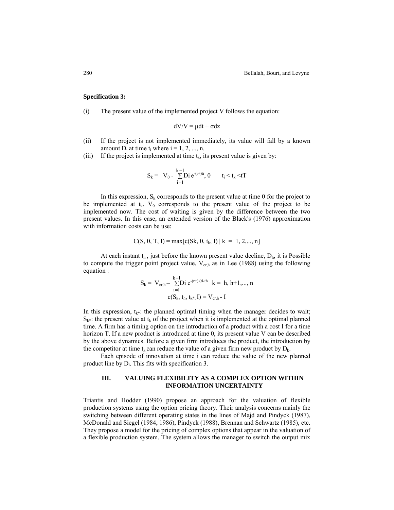#### **Specification 3:**

(i) The present value of the implemented project V follows the equation:

$$
dV/V = \mu dt + \sigma dz
$$

- (ii) If the project is not implemented immediately, its value will fall by a known amount  $D_i$  at time  $t_i$  where  $i = 1, 2, ..., n$ .
- (iii) If the project is implemented at time  $t_k$ , its present value is given by:

$$
S_k \! \! \: = \ \ \, V_0 \! \: - \ \, \sum\limits_{i=1}^{k-1} \! Di \; e^{-(r+jt)} \! \! , \, 0 \qquad \, t_i \! \! \, \leq \! t_k \! \! \leq \! t \Gamma
$$

In this expression,  $S_k$  corresponds to the present value at time 0 for the project to be implemented at  $t_k$ .  $V_0$  corresponds to the present value of the project to be implemented now. The cost of waiting is given by the difference between the two present values. In this case, an extended version of the Black's (1976) approximation with information costs can be use:

$$
C(S, 0, T, I) = max[c(Sk, 0, t_k, I) | k = 1, 2, ..., n]
$$

At each instant  $t<sub>h</sub>$ , just before the known present value decline,  $D<sub>h</sub>$ , it is Possible to compute the trigger point project value,  $V_{cr,h}$  as in Lee (1988) using the following equation :

$$
S_{k} = V_{cr,h} - \sum_{i=1}^{k-1} Di e^{-(r+)(ti-th)} k = h, h+1,..., n
$$
  

$$
c(S_{k}, t_{h}, t_{k*,} I) = V_{cr,h} - I
$$

In this expression,  $t_{k^*}$ : the planned optimal timing when the manager decides to wait;  $S_{k^*}$ : the present value at t<sub>k</sub> of the project when it is implemented at the optimal planned time. A firm has a timing option on the introduction of a product with a cost I for a time horizon T. If a new product is introduced at time 0, its present value V can be described by the above dynamics. Before a given firm introduces the product, the introduction by the competitor at time  $t_k$  can reduce the value of a given firm new product by  $D_k$ .

Each episode of innovation at time i can reduce the value of the new planned product line by  $D_i$ . This fits with specification 3.

# **III. VALUING FLEXIBILITY AS A COMPLEX OPTION WITHIN INFORMATION UNCERTAINTY**

Triantis and Hodder (1990) propose an approach for the valuation of flexible production systems using the option pricing theory. Their analysis concerns mainly the switching between different operating states in the lines of Majd and Pindyck (1987), McDonald and Siegel (1984, 1986), Pindyck (1988), Brennan and Schwartz (1985), etc. They propose a model for the pricing of complex options that appear in the valuation of a flexible production system. The system allows the manager to switch the output mix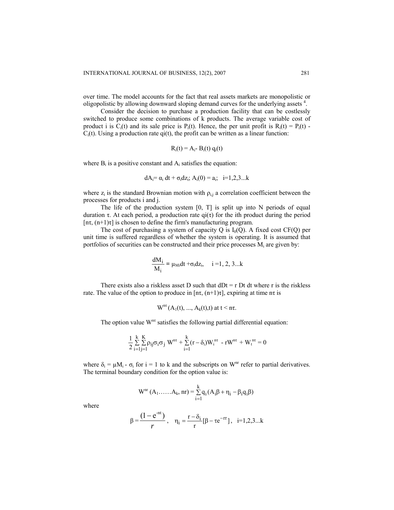over time. The model accounts for the fact that real assets markets are monopolistic or oligopolistic by allowing downward sloping demand curves for the underlying assets<sup>4</sup>.

Consider the decision to purchase a production facility that can be costlessly switched to produce some combinations of k products. The average variable cost of product i is  $C_i(t)$  and its sale price is  $P_i(t)$ . Hence, the per unit profit is  $R_i(t) = P_i(t)$ .  $C_i(t)$ . Using a production rate  $qi(t)$ , the profit can be written as a linear function:

$$
R_i(t) = A_i - B_i(t) q_i(t)
$$

where  $B_i$  is a positive constant and  $A_i$  satisfies the equation:

$$
dA_i = \alpha_i dt + \sigma_i dz_i; A_i(0) = a_i; i=1,2,3...k
$$

where  $z_i$  is the standard Brownian motion with  $\rho_{i,j}$  a correlation coefficient between the processes for products i and j.

The life of the production system  $[0, T]$  is split up into N periods of equal duration τ. At each period, a production rate  $qi(τ)$  for the ith product during the period  $[\text{nr}, (\text{n+1})\tau]$  is chosen to define the firm's manufacturing program.

The cost of purchasing a system of capacity Q is  $I_0(Q)$ . A fixed cost CF(Q) per unit time is suffered regardless of whether the system is operating. It is assumed that portfolios of securities can be constructed and their price processes  $M_i$  are given by:

$$
\frac{dM_i}{M_i} = \mu_{Mi} dt + \sigma_i dz_i, \quad i = 1, 2, 3...k
$$

There exists also a riskless asset D such that  $dDt = r Dt$  dt where r is the riskless rate. The value of the option to produce in  $[\pi, (n+1)\tau]$ , expiring at time  $n\tau$  is

$$
W^{n\tau}(A_1(t), ..., A_k(t),t)
$$
 at  $t < n\tau$ .

The option value  $W<sup>n<sub>\tau</sub></sup>$  satisfies the following partial differential equation:

$$
\frac{1}{2}\sum\limits_{i=1}^k\sum\limits_{j=1}^K \rho_{ij}\sigma_i\sigma_j\ W^{\text{nt}}+\sum\limits_{i=1}^k(r-\delta_i)W^{\text{nt}}_i-rW^{\text{nt}}+W^{\text{nt}}_t=0
$$

where  $\delta_i = \mu M_i - \sigma_i$  for  $i = 1$  to k and the subscripts on W<sup>nr</sup> refer to partial derivatives. The terminal boundary condition for the option value is:

$$
W^{nr}\left(A_{1}.\ldots.A_{k},\,nr\right)=\overset{k}{\underset{i=1}{\sum}}q_{i}\big(A_{i}\beta+\eta_{i}-\beta_{i}q_{i}\beta\big)
$$

where

$$
\beta=\frac{\left(1-e^{-nt}\right)}{r}\,,\quad\eta_{i}=\frac{r-\delta_{i}}{r}\lbrack\beta-\tau e^{-rr}\rbrack,\quad i\text{=}1,2,3...k
$$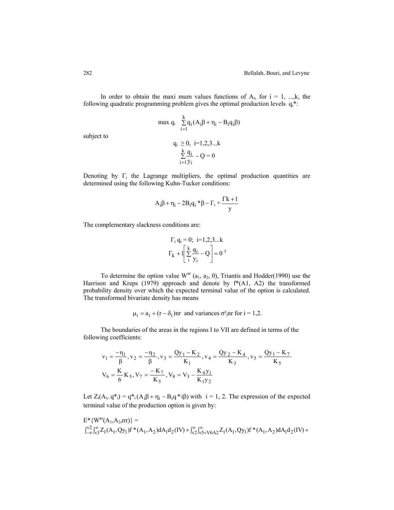In order to obtain the maxi mum values functions of  $A_i$ , for  $i = 1, \dots, k$ , the following quadratic programming problem gives the optimal production levels  $q_i$ \*:

$$
max~q_i~\sum_{i=1}^k q_i (A_i \beta + \eta_i - B_i q_i \beta)
$$

subject to

$$
q_i \ge 0, i=1,2,3...k
$$
  

$$
\sum_{i=1}^{k} \frac{q_i}{y_i} - Q = 0
$$

Denoting by  $\Gamma_i$  the Lagrange multipliers, the optimal production quantities are determined using the following Kuhn-Tucker conditions:

$$
A_i\beta+\eta_i-2B_iq_i\mathbin{\hbox{\hspace{-1pt}}\ast} \beta-\Gamma_i+\frac{\Gamma k+1}{y}
$$

The complementary slackness conditions are:

$$
\Gamma_{i} q_{i} = 0; \ \ i=1,2,3...k
$$
\n
$$
\Gamma_{k} + 1 \left[ \sum_{i=1}^{k} \frac{q_{i}}{y_{i}} - Q \right] = 0^{5}
$$

To determine the option value  $W^{\text{nr}}$  ( $a_1, a_2, 0$ ), Triantis and Hodder(1990) use the Harrison and Kreps (1979) approach and denote by f\*(A1, A2) the transformed probability density over which the expected terminal value of the option is calculated. The transformed bivariate density has means

$$
\mu_i = a_i + (r - \delta_i)nr
$$
 and variances  $\sigma^2_i nr$  for  $i = 1,2$ .

The boundaries of the areas in the regions I to VII are defined in terms of the following coefficients:

$$
v_1 = \frac{-\eta_1}{\beta}, v_2 = \frac{-\eta_2}{\beta}, v_3 = \frac{Qy_1 - K_2}{K_1}, v_4 = \frac{Qy_2 - K_4}{K_3}, v_5 = \frac{Qy_1 - K_7}{K_5}
$$
  

$$
V_6 = \frac{K}{6}K_5, V_7 = \frac{-K_7}{K_5}, V_8 = V_3 - \frac{K_4y_1}{K_1y_2}
$$

Let  $Z_i(A_i, q^*)_ = q^*(A_i\beta + \eta_i - B_iq^*i\beta)$  with  $i = 1, 2$ . The expression of the expected terminal value of the production option is given by:

$$
\begin{array}{l} E^*\{W^{nr}(A_1,A_2,n\tau)\} = \\ \int_{-\infty}^{v2} \int_{v3}^{\infty} Z_1(A_1,Qy_1)f^*(A_1,A_2)dA_1d_2(IV) + \int_{v2}^{\infty} \int_{v5 + V6A2}^{\infty} Z_1(A_1,Qy_1)f^*(A_1,A_2)dA_1d_2(IV) + \end{array}
$$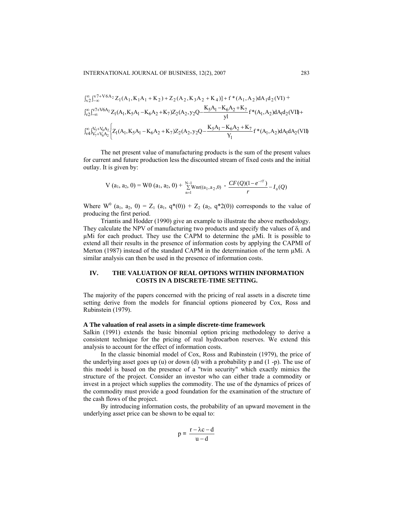$$
\int_{v_2}^{\infty} \int_{-\infty}^{v_7 + V_6 A_2} Z_1(A_1, K_1 A_1 + K_2) + Z_2(A_2, K_3 A_2 + K_4)] + f^*(A_1, A_2) dA_1 d_2(VI) +
$$
  

$$
\int_{v_2}^{\infty} \int_{-\infty}^{v_7 + V_6 A_2} Z_1(A_1, K_5 A_1 - K_6 A_2 + K_7) Z_2(A_2, y_2 Q - \frac{K_5 A_1 - K_6 A_2 + K_7}{yI} f^*(A_1, A_2) dA_1 d_2(VII) +
$$
  

$$
\int_{v_4}^{\infty} \int_{v_7 + V_6 A_2}^{V_5 + V_6 A_2} \left\{ Z_1(A_1, K_5 A_1 - K_6 A_2 + K_7) Z_2(A_2, y_2 Q - \frac{K_5 A_1 - K_6 A_2 + K_7}{Y_1} f^*(A_1, A_2) dA_1 dA_2(VII) \right\} dA_1 dA_2(VII)
$$

The net present value of manufacturing products is the sum of the present values for current and future production less the discounted stream of fixed costs and the initial outlay. It is given by:

$$
V(a_1, a_2, 0) = W0(a_1, a_2, 0) + \sum_{n=1}^{N-1} Wnr((a_1, a_2, 0) - \frac{CF(Q)(1 - e^{-rT})}{r} - I_0(Q))
$$

Where  $W^0$  (a<sub>1</sub>, a<sub>2</sub>, 0) =  $Z_1$  (a<sub>1</sub>, q<sup>\*</sup>(0)) +  $Z_2$  (a<sub>2</sub>, q<sup>\*</sup>2(0)) corresponds to the value of producing the first period.

Triantis and Hodder (1990) give an example to illustrate the above methodology. They calculate the NPV of manufacturing two products and specify the values of  $\delta_i$  and µMi for each product. They use the CAPM to determine the µMi. It is possible to extend all their results in the presence of information costs by applying the CAPMI of Merton (1987) instead of the standard CAPM in the determination of the term  $\mu$ Mi. A similar analysis can then be used in the presence of information costs.

# **IV. THE VALUATION OF REAL OPTIONS WITHIN INFORMATION COSTS IN A DISCRETE-TIME SETTING.**

The majority of the papers concerned with the pricing of real assets in a discrete time setting derive from the models for financial options pioneered by Cox, Ross and Rubinstein (1979).

#### **A The valuation of real assets in a simple discrete-time framework**

Salkin (1991) extends the basic binomial option pricing methodology to derive a consistent technique for the pricing of real hydrocarbon reserves. We extend this analysis to account for the effect of information costs.

In the classic binomial model of Cox, Ross and Rubinstein (1979), the price of the underlying asset goes up (u) or down (d) with a probability p and (1 -p). The use of this model is based on the presence of a "twin security" which exactly mimics the structure of the project. Consider an investor who can either trade a commodity or invest in a project which supplies the commodity. The use of the dynamics of prices of the commodity must provide a good foundation for the examination of the structure of the cash flows of the project.

By introducing information costs, the probability of an upward movement in the underlying asset price can be shown to be equal to:

$$
p = \frac{r - \lambda c - d}{u - d}
$$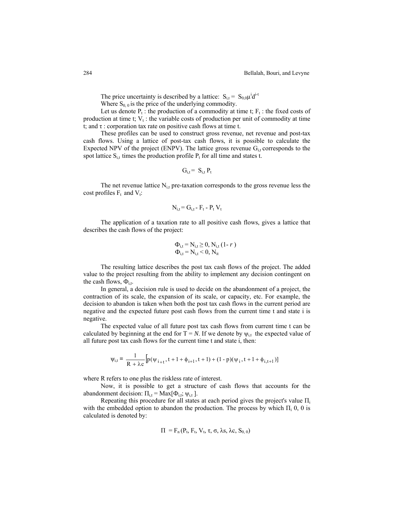The price uncertainty is described by a lattice:  $S_{i,t} = S_{0,0} \mu^{i} d^{i-t}$ 

Where  $S_{0, 0}$  is the price of the underlying commodity.

Let us denote  $P_t$ : the production of a commodity at time t;  $F_t$ : the fixed costs of production at time t;  $V_t$ : the variable costs of production per unit of commodity at time t; and  $\tau$  : corporation tax rate on positive cash flows at time t.

These profiles can be used to construct gross revenue, net revenue and post-tax cash flows. Using a lattice of post-tax cash flows, it is possible to calculate the Expected NPV of the project (ENPV). The lattice gross revenue  $G_{i,t}$  corresponds to the spot lattice  $S_{i,t}$  times the production profile  $P_t$  for all time and states t.

$$
G_{i,t} = S_{i,t} P_t
$$

The net revenue lattice  $N_{i,t}$  pre-taxation corresponds to the gross revenue less the cost profiles  $F_t$  and  $V_t$ :

$$
N_{i,t} = G_{i,t} - F_t - P_t V_t
$$

The application of a taxation rate to all positive cash flows, gives a lattice that describes the cash flows of the project:

$$
\Phi_{i,t} = N_{i,t} \geq 0, N_{i,t} (1 - r)
$$
  

$$
\Phi_{i,t} = N_{i,t} < 0, N_{it}
$$

The resulting lattice describes the post tax cash flows of the project. The added value to the project resulting from the ability to implement any decision contingent on the cash flows,  $\Phi_{i,t}$ .

In general, a decision rule is used to decide on the abandonment of a project, the contraction of its scale, the expansion of its scale, or capacity, etc. For example, the decision to abandon is taken when both the post tax cash flows in the current period are negative and the expected future post cash flows from the current time t and state i is negative.

The expected value of all future post tax cash flows from current time t can be calculated by beginning at the end for  $T = N$ . If we denote by  $\psi_{i,t}$  the expected value of all future post tax cash flows for the current time t and state i, then:

$$
\psi_{i,t} = \frac{1}{R + \lambda c} \Big[ p(\psi_{i+t}, t + 1 + \phi_{i+1}, t + 1) + (1 - p)(\psi_i, t + 1 + \phi_{i,t+1}) \Big]
$$

where R refers to one plus the riskless rate of interest.

Now, it is possible to get a structure of cash flows that accounts for the abandonment decision:  $\Pi_{i,t} = \text{Max}[\Phi_{i,t}; \psi_{i,t}]$ .

Repeating this procedure for all states at each period gives the project's value  $\Pi_i$ with the embedded option to abandon the production. The process by which  $\Pi_i$  0, 0 is calculated is denoted by:

$$
\Pi = F_n(P_t, F_t, V_t, \tau, \sigma, \lambda s, \lambda c, S_{0,0})
$$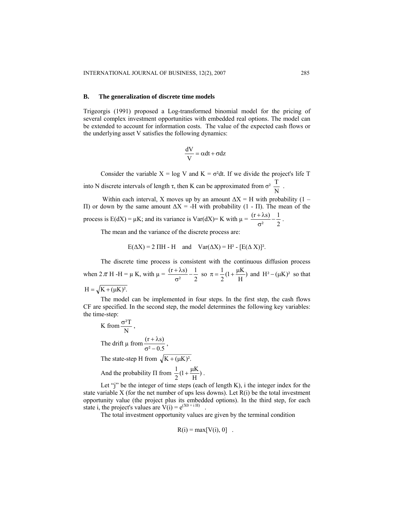#### **B. The generalization of discrete time models**

Trigeorgis (1991) proposed a Log-transformed binomial model for the pricing of several complex investment opportunities with embedded real options. The model can be extended to account for information costs. The value of the expected cash flows or the underlying asset V satisfies the following dynamics:

$$
\frac{dV}{V} = \alpha dt + \sigma dz
$$

Consider the variable  $X = \log V$  and  $K = \sigma^2 dt$ . If we divide the project's life T into N discrete intervals of length τ, then K can be approximated from  $\sigma^2 \frac{T}{N}$ .

Within each interval, X moves up by an amount  $\Delta X = H$  with probability (1 – Π) or down by the same amount ΔX = -H with probability (1 - Π). The mean of the process is E(dX) =  $\mu$ K; and its variance is Var(dX)= K with  $\mu = \frac{(r + \lambda s)}{\sigma^2} - \frac{1}{2}$  $\overline{\mathbf{c}}$  $\frac{(r+\lambda s)}{\sigma^2} - \frac{1}{2}$ .

The mean and the variance of the discrete process are:

$$
E(\Delta X) = 2 \text{ IIH} - \text{H}
$$
 and  $Var(\Delta X) = \text{H}^2 - [E(\Delta X)]^2$ .

The discrete time process is consistent with the continuous diffusion process when  $2 \pi H -H = \mu K$ , with  $\mu = \frac{(r + \lambda s)}{\sigma^2} - \frac{1}{2}$  $\overline{\mathbf{c}}$  $\frac{f(r+\lambda s)}{\sigma^2} - \frac{1}{2}$  so  $\pi = \frac{1}{2}(1 + \frac{\mu K}{H})$  and  $H^2 - (\mu K)^2$  so that  $H = \sqrt{K + (\mu K)^2}$ .

The model can be implemented in four steps. In the first step, the cash flows CF are specified. In the second step, the model determines the following key variables: the time-step:

K from 
$$
\frac{\sigma^2 T}{N}
$$
,  
\nThe drift  $\mu$  from  $\frac{(r + \lambda s)}{\sigma^2 - 0.5}$ ,  
\nThe state-step H from  $\sqrt{K + (\mu K)^2}$ .  
\nAnd the probability  $\Pi$  from  $\frac{1}{2}(1 + \frac{\mu K}{H})$ .

Let "j" be the integer of time steps (each of length K), i the integer index for the state variable  $X$  (for the net number of ups less downs). Let  $R(i)$  be the total investment opportunity value (the project plus its embedded options). In the third step, for each state i, the project's values are  $V(i) = e^{(X0 + iH)}$ 

The total investment opportunity values are given by the terminal condition

$$
R(i) = max[V(i), 0]
$$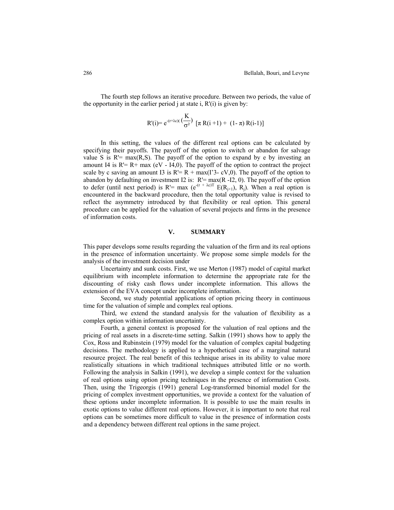The fourth step follows an iterative procedure. Between two periods, the value of the opportunity in the earlier period *i* at state *i*,  $R'(i)$  is given by:

$$
R'(i) = e^{-(r+\lambda c)(\frac{K}{\sigma^2})} \left[ \pi R(i+1) + (1-\pi) R(i-1) \right]
$$

In this setting, the values of the different real options can be calculated by specifying their payoffs. The payoff of the option to switch or abandon for salvage value S is  $R'$ = max $(R, S)$ . The payoff of the option to expand by e by investing an amount I4 is  $R' = R + \max$  (eV - I4,0). The payoff of the option to contract the project scale by c saving an amount I3 is  $R' = R + max(I'3 - cV, 0)$ . The payoff of the option to abandon by defaulting on investment  $12$  is:  $R' = max(R - I2, 0)$ . The payoff of the option to defer (until next period) is  $R' = \max (e^{-(r + \lambda c)T} E(R_{j+1}), R_j)$ . When a real option is encountered in the backward procedure, then the total opportunity value is revised to reflect the asymmetry introduced by that flexibility or real option. This general procedure can be applied for the valuation of several projects and firms in the presence of information costs.

## **V. SUMMARY**

This paper develops some results regarding the valuation of the firm and its real options in the presence of information uncertainty. We propose some simple models for the analysis of the investment decision under

Uncertainty and sunk costs. First, we use Merton (1987) model of capital market equilibrium with incomplete information to determine the appropriate rate for the discounting of risky cash flows under incomplete information. This allows the extension of the EVA concept under incomplete information.

Second, we study potential applications of option pricing theory in continuous time for the valuation of simple and complex real options.

Third, we extend the standard analysis for the valuation of flexibility as a complex option within information uncertainty.

Fourth, a general context is proposed for the valuation of real options and the pricing of real assets in a discrete-time setting. Salkin (1991) shows how to apply the Cox, Ross and Rubinstein (1979) model for the valuation of complex capital budgeting decisions. The methodology is applied to a hypothetical case of a marginal natural resource project. The real benefit of this technique arises in its ability to value more realistically situations in which traditional techniques attributed little or no worth. Following the analysis in Salkin (1991), we develop a simple context for the valuation of real options using option pricing techniques in the presence of information Costs. Then, using the Trigeorgis (1991) general Log-transformed binomial model for the pricing of complex investment opportunities, we provide a context for the valuation of these options under incomplete information. It is possible to use the main results in exotic options to value different real options. However, it is important to note that real options can be sometimes more difficult to value in the presence of information costs and a dependency between different real options in the same project.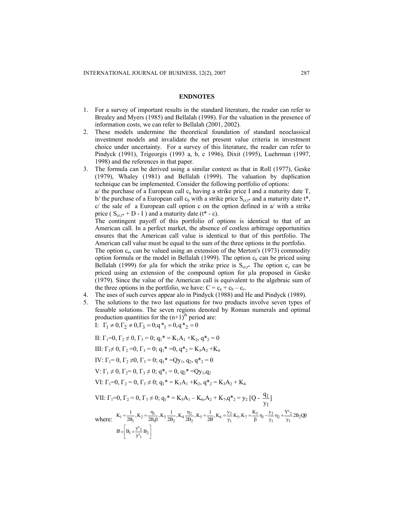#### **ENDNOTES**

- 1. For a survey of important results in the standard literature, the reader can refer to Brealey and Myers (1985) and Bellalah (1998). For the valuation in the presence of information costs, we can refer to Bellalah (2001, 2002).
- 2. These models undermine the theoretical foundation of standard neoclassical investment models and invalidate the net present value criteria in investment choice under uncertainty. For a survey of this literature, the reader can refer to Pindyck (1991), Trigeorgis (1993 a, b, c 1996), Dixit (1995), Luehrman (1997, 1998) and the references in that paper.
- 3. The formula can be derived using a similar context as that in Roll (1977), Geske (1979), Whaley (1981) and Bellalah (1999). The valuation by duplication technique can be implemented. Consider the following portfolio of options:

 $a$ / the purchase of a European call  $c_a$  having a strike price I and a maturity date T, b/ the purchase of a European call  $c_b$  with a strike price  $S_{crt*}$  and a maturity date t<sup>\*</sup>, c/ the sale of a European call option c on the option defined in a/ with a strike price ( $S_{cr}$ + D - I) and a maturity date (t\* - ε).

The contingent payoff of this portfolio of options is identical to that of an American call. In a perfect market, the absence of costless arbitrage opportunities ensures that the American call value is identical to that of this portfolio. The American call value must be equal to the sum of the three options in the portfolio.

The option  $c_a$ , can be valued using an extension of the Merton's (1973) commodity option formula or the model in Bellalah (1999). The option  $c<sub>b</sub>$  can be priced using Bellalah (1999) for µla for which the strike price is  $S_{cr,t^*}$ . The option c<sub>c</sub> can be priced using an extension of the compound option for µla proposed in Geske (1979). Since the value of the American call is equivalent to the algebraic sum of the three options in the portfolio, we have:  $C = c_a + c_b - c_c$ .

- The uses of such curves appear alo in Pindyck (1988) and He and Pindyck (1989).
- 5. The solutions to the two last equations for two products involve seven types of feasable solutions. The seven regions denoted by Roman numerals and optimal production quantities for the  $(n+1)$ <sup>th</sup> period are:

I:  $\Gamma_1 \neq 0, \Gamma_2 \neq 0, \Gamma_3 = 0; q^*_{1} = 0, q^*_{2} = 0$ 

II: 
$$
\Gamma_1=0
$$
,  $\Gamma_2 \neq 0$ ,  $\Gamma_3 = 0$ ;  $q_1^* = K_1A_1 + K_2$ ,  $q^*_{2} = 0$   
\nIII:  $\Gamma_1 \neq 0$ ,  $\Gamma_2 = 0$ ,  $\Gamma_3 = 0$ ;  $q_1^* = 0$ ,  $q^*_{2} = K_3A_{2} + K_4$   
\nIV:  $\Gamma_1 = 0$ ,  $\Gamma_2 \neq 0$ ,  $\Gamma_3 = 0$ ;  $q_1^* = Qy_1$ ,  $q_2$ ,  $q^*_{2} = 0$   
\nV:  $\Gamma_1 \neq 0$ ,  $\Gamma_2 = 0$ ,  $\Gamma_3 \neq 0$ ;  $q^*_{1} = 0$ ,  $q_2^* = Qy_1$ ,  $q_2$   
\nVI:  $\Gamma_1=0$ ,  $\Gamma_2 = 0$ ,  $\Gamma_3 \neq 0$ ;  $q_1^* = K_1A_1 + K_2$ ,  $q^*_{2} = K_3A_{2} + K_4$   
\nVII:  $\Gamma_1=0$ ,  $\Gamma_2 = 0$ ,  $\Gamma_3 \neq 0$ ;  $q_1^* = K_3A_1 - K_6$ ,  $A_2 + K_7$ ,  $q^*_{2} = y_2$  [ $Q - \frac{q_1}{y_1}$ ]  
\nwhere:  $K_1 = \frac{1}{2B_1}$ ,  $K_2 = \frac{\eta_1}{2B_1\beta}$ ,  $K_3 = \frac{1}{2B_2}$ ,  $K_4 = \frac{\eta_2}{2B_2}$ ,  $K_5 = \frac{1}{2B}$ ,  $K_6 = \frac{y_2}{y_1}K_5$ ,  $K_7 = \frac{K_5}{\beta} \eta_1 - \frac{y_2}{y_1} \eta_2 + \frac{Y_2}{y_1} 2B_2Q\beta$   
\n $B = \left[ B_1 + \frac{y_2}{y_1} B_2 \right]$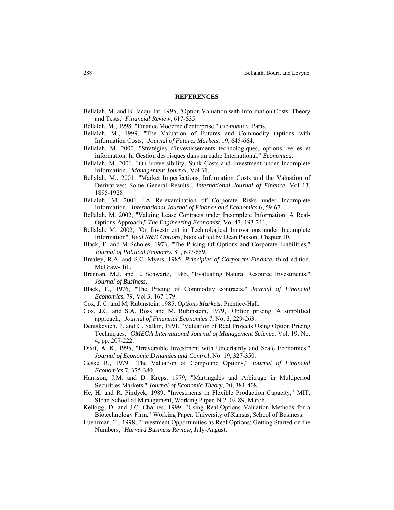#### **REFERENCES**

- Bellalah, M. and B. Jacquillat, 1995, "Option Valuation with Information Costs: Theory and Tests," *Financial Review*, 617-635.
- Bellalah, M., 1998. "Finance Moderne d'entreprise," *Economica*, Paris.
- Bellalah, M., 1999, "The Valuation of Futures and Commodity Options with Information Costs," *Journal of Futures Markets*, 19, 645-664.
- Bellalah, M. 2000, "Stratégies d'investissements technologiques, options réelles et information. In Gestion des risques dans un cadre International." *Economica*.
- Bellalah, M. 2001, "On Irreversibility, Sunk Costs and Investment under Incomplete Information," *Management Journal*, Vol 31.
- Bellalah, M., 2001, "Market Imperfections, Information Costs and the Valuation of Derivatives: Some General Results", *International Journal of Finance*, Vol 13, 1895-1928
- Bellalah, M. 2001, "A Re-examination of Corporate Risks under Incomplete Information," *International Journal of Finance and Economics* 6, 59-67.
- Bellalah, M. 2002, "Valuing Lease Contracts under Incomplete Information: A Real-Options Approach," *The Engineering Economist*, Vol 47, 193-211,
- Bellalah, M. 2002, "On Investment in Technological Innovations under Incomplete Information", *Real R&D Options*, book edited by Dean Paxson, Chapter 10.
- Black, F. and M Scholes, 1973, "The Pricing Of Options and Corporate Liabilities," *Journal of Political Economy*, 81, 637-659.
- Brealey, R.A. and S.C. Myers, 1985. *Principles of Corporate Finance*, third edition. McGraw-Hill.
- Brennan, M.J. and E. Schwartz, 1985, "Evaluating Natural Resource Investments," *Journal of Business*.
- Black, F., 1976, "The Pricing of Commodity contracts," *Journal of Financial Economics*, 79, Vol 3, 167-179.
- Cox, J. C. and M, Rubinstein, 1985, *Options Markets*, Prentice-Hall.
- Cox, J.C. and S.A. Ross and M. Rubinstein, 1979, "Option pricing: A simplified approach," *Journal of Financial Economics* 7, No. 3, 229-263.
- Dentskevich, P. and G. Salkin, 1991, "Valuation of Real Projects Using Option Pricing Techniques," *OMEGA International Journal of Management Science*, Vol. 19, No. 4, pp. 207-222.
- Dixit, A. K, 1995, "Irreversible Investment with Uncertainty and Scale Economies," *Journal of Economic Dynamics and Control*, No. 19, 327-350.
- Geske R., 1979, "The Valuation of Compound Options," *Journal of Financial Economics* 7, 375-380.
- Harrison, J.M. and D. Kreps, 1979, "Martingales and Arbitrage in Multiperiod Securities Markets," *Journal of Economic Theory*, 20, 381-408.
- He, H. and R. Pindyck, 1989, "Investments in Flexible Production Capacity," MIT, Sloan School of Management, Working Paper, N 2102-89, March.
- Kellogg, D. and J.C. Charnes, 1999, "Using Real-Options Valuation Methods for a Biotechnology Firm," Working Paper, University of Kansas, School of Business.
- Luehrman, T., 1998, "Investment Opportunities as Real Options: Getting Started on the Numbers," *Harvard Business Review*, July-August.